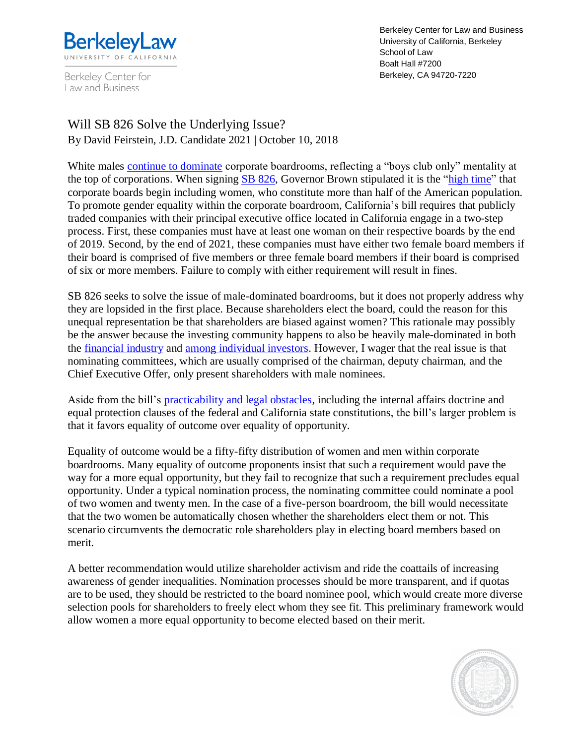

Berkeley Center for Law and Business

Berkeley Center for Law and Business University of California, Berkeley School of Law Boalt Hall #7200 Berkeley, CA 94720-7220

Will SB 826 Solve the Underlying Issue? By David Feirstein, J.D. Candidate 2021 | October 10, 2018

White males [continue to dominate](https://www.catalyst.org/knowledge/2016-catalyst-census-women-and-men-board-directors) corporate boardrooms, reflecting a "boys club only" mentality at the top of corporations. When signing **SB 826**, Governor Brown stipulated it is the ["high time"](http://www.latimes.com/politics/la-pol-ca-brown-letter-sb826-htmlstory.html) that corporate boards begin including women, who constitute more than half of the American population. To promote gender equality within the corporate boardroom, California's bill requires that publicly traded companies with their principal executive office located in California engage in a two-step process. First, these companies must have at least one woman on their respective boards by the end of 2019. Second, by the end of 2021, these companies must have either two female board members if their board is comprised of five members or three female board members if their board is comprised of six or more members. Failure to comply with either requirement will result in fines.

SB 826 seeks to solve the issue of male-dominated boardrooms, but it does not properly address why they are lopsided in the first place. Because shareholders elect the board, could the reason for this unequal representation be that shareholders are biased against women? This rationale may possibly be the answer because the investing community happens to also be heavily male-dominated in both the [financial industry](https://www.farwestcapital.com/blog/women-arent-in-banking-finance/) and [among individual investors.](https://www.investors.com/news/gender-gap-investing-women-wall-street-stocks-female-investors/) However, I wager that the real issue is that nominating committees, which are usually comprised of the chairman, deputy chairman, and the Chief Executive Offer, only present shareholders with male nominees.

Aside from the bill's [practicability and legal obstacles,](https://capitolinsider.calchamber.com/2018/05/legislating-is-hard/) including the internal affairs doctrine and equal protection clauses of the federal and California state constitutions, the bill's larger problem is that it favors equality of outcome over equality of opportunity.

Equality of outcome would be a fifty-fifty distribution of women and men within corporate boardrooms. Many equality of outcome proponents insist that such a requirement would pave the way for a more equal opportunity, but they fail to recognize that such a requirement precludes equal opportunity. Under a typical nomination process, the nominating committee could nominate a pool of two women and twenty men. In the case of a five-person boardroom, the bill would necessitate that the two women be automatically chosen whether the shareholders elect them or not. This scenario circumvents the democratic role shareholders play in electing board members based on merit.

A better recommendation would utilize shareholder activism and ride the coattails of increasing awareness of gender inequalities. Nomination processes should be more transparent, and if quotas are to be used, they should be restricted to the board nominee pool, which would create more diverse selection pools for shareholders to freely elect whom they see fit. This preliminary framework would allow women a more equal opportunity to become elected based on their merit.